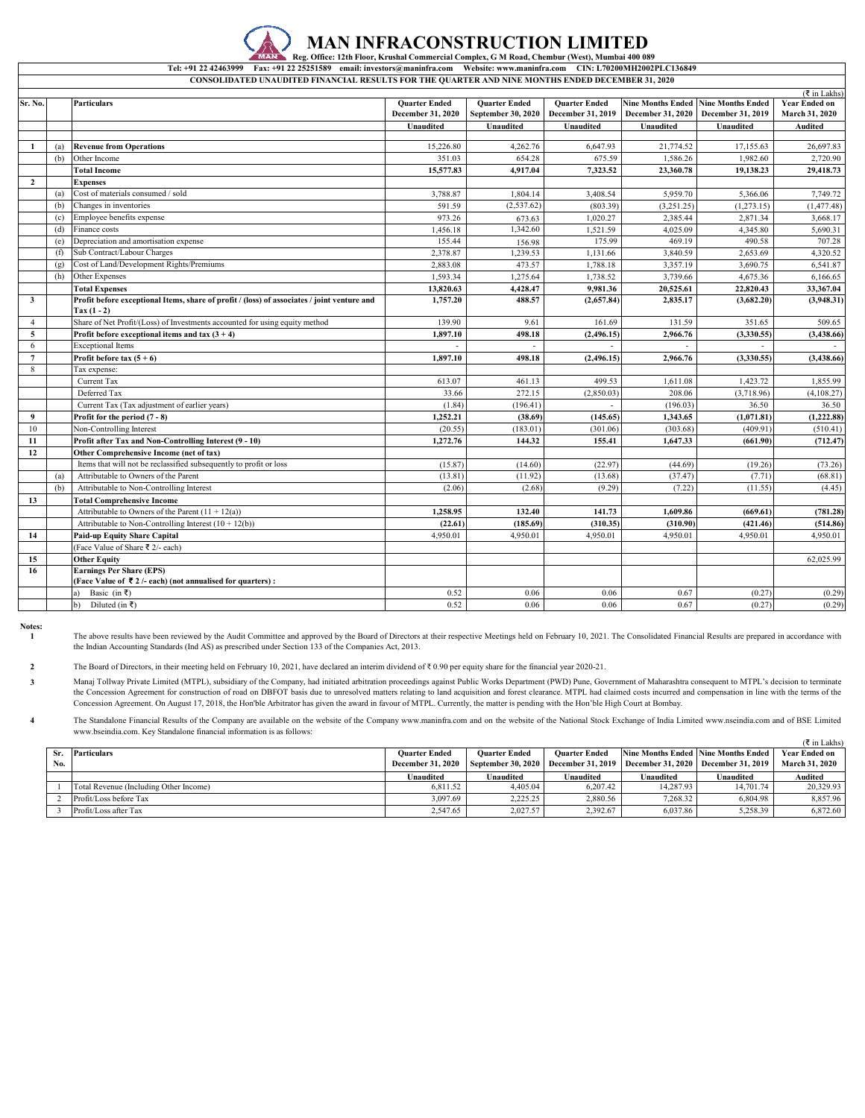## **INFRACONSTRUCTION LIMITED Reg. Office: 12th Floor, Krushal Commercial Complex, G M Road, Chembur (West), Mumbai 400 089**

**CONSOLIDATED UNAUDITED FINANCIAL RESULTS FOR THE QUARTER AND NINE MONTHS ENDED DECEMBER 31, 2020 Tel: +91 22 42463999 Fax: +91 22 25251589 email: investors@maninfra.com Website: www.maninfra.com CIN: L70200MH2002PLC136849**

|                         |     |                                                                                                              |                      |                      |                      |                          | $(\overline{\xi}$ in Lakhs) |                      |
|-------------------------|-----|--------------------------------------------------------------------------------------------------------------|----------------------|----------------------|----------------------|--------------------------|-----------------------------|----------------------|
| Sr. No.                 |     | Particulars                                                                                                  | <b>Quarter Ended</b> | <b>Quarter Ended</b> | <b>Ouarter Ended</b> | <b>Nine Months Ended</b> | <b>Nine Months Ended</b>    | <b>Year Ended on</b> |
|                         |     |                                                                                                              | December 31, 2020    | September 30, 2020   | December 31, 2019    | December 31, 2020        | December 31, 2019           | March 31, 2020       |
|                         |     |                                                                                                              | Unaudited            | Unaudited            | Unaudited            | Unaudited                | Unaudited                   | Audited              |
|                         |     |                                                                                                              |                      |                      |                      |                          |                             |                      |
| -1                      | (a) | <b>Revenue from Operations</b>                                                                               | 15,226.80            | 4,262.76             | 6,647.93             | 21,774.52                | 17,155.63                   | 26,697.83            |
|                         | (b) | Other Income                                                                                                 | 351.03               | 654.28               | 675.59               | 1,586.26                 | 1,982.60                    | 2,720.90             |
|                         |     | <b>Total Income</b>                                                                                          | 15,577.83            | 4,917.04             | 7,323.52             | 23,360.78                | 19,138.23                   | 29,418.73            |
| $\overline{2}$          |     | <b>Expenses</b>                                                                                              |                      |                      |                      |                          |                             |                      |
|                         | (a) | Cost of materials consumed / sold                                                                            | 3,788.87             | 1,804.14             | 3,408.54             | 5,959.70                 | 5,366.06                    | 7,749.72             |
|                         | (b) | Changes in inventories                                                                                       | 591.59               | (2,537.62)           | (803.39)             | (3,251.25)               | (1, 273.15)                 | (1,477.48)           |
|                         | (c) | Employee benefits expense                                                                                    | 973.26               | 673.63               | 1,020.27             | 2.385.44                 | 2,871.34                    | 3,668.17             |
|                         | (d) | Finance costs                                                                                                | 1,456.18             | 1,342.60             | 1,521.59             | 4,025.09                 | 4,345.80                    | 5,690.31             |
|                         | (e) | Depreciation and amortisation expense                                                                        | 155.44               | 156.98               | 175.99               | 469.19                   | 490.58                      | 707.28               |
|                         | (f) | Sub Contract/Labour Charges                                                                                  | 2,378.87             | 1,239.53             | 1,131.66             | 3,840.59                 | 2,653.69                    | 4,320.52             |
|                         | (g) | Cost of Land/Development Rights/Premiums                                                                     | 2,883.08             | 473.57               | 1,788.18             | 3,357.19                 | 3,690.75                    | 6,541.87             |
|                         | (h) | Other Expenses                                                                                               | 1,593.34             | 1,275.64             | 1,738.52             | 3,739.66                 | 4,675.36                    | 6,166.65             |
|                         |     | <b>Total Expenses</b>                                                                                        | 13,820.63            | 4,428.47             | 9,981.36             | 20,525.61                | 22,820.43                   | 33,367.04            |
| $\overline{\mathbf{3}}$ |     | Profit before exceptional Items, share of profit / (loss) of associates / joint venture and<br>$Tax (1 - 2)$ | 1,757.20             | 488.57               | (2,657.84)           | 2,835.17                 | (3,682,20)                  | (3,948,31)           |
| $\overline{4}$          |     | Share of Net Profit/(Loss) of Investments accounted for using equity method                                  | 139.90               | 9.61                 | 161.69               | 131.59                   | 351.65                      | 509.65               |
| 5                       |     | Profit before exceptional items and tax $(3 + 4)$                                                            | 1,897.10             | 498.18               | (2, 496.15)          | 2,966.76                 | (3,330.55)                  | (3,438.66)           |
| 6                       |     | <b>Exceptional Items</b>                                                                                     |                      |                      |                      |                          |                             |                      |
| $\overline{7}$          |     | Profit before tax $(5 + 6)$                                                                                  | 1.897.10             | 498.18               | (2, 496.15)          | 2,966.76                 | (3,330.55)                  | (3,438.66)           |
| 8                       |     | Tax expense:                                                                                                 |                      |                      |                      |                          |                             |                      |
|                         |     | Current Tax                                                                                                  | 613.07               | 461.13               | 499.53               | 1,611.08                 | 1,423.72                    | 1,855.99             |
|                         |     | Deferred Tax                                                                                                 | 33.66                | 272.15               | (2,850.03)           | 208.06                   | (3,718.96)                  | (4,108.27)           |
|                         |     | Current Tax (Tax adjustment of earlier years)                                                                | (1.84)               | (196.41)             |                      | (196.03)                 | 36.50                       | 36.50                |
| $\boldsymbol{9}$        |     | Profit for the period (7 - 8)                                                                                | 1,252.21             | (38.69)              | (145.65)             | 1,343.65                 | (1,071.81)                  | (1,222.88)           |
| 10                      |     | Non-Controlling Interest                                                                                     | (20.55)              | (183.01)             | (301.06)             | (303.68)                 | (409.91)                    | (510.41)             |
| 11                      |     | Profit after Tax and Non-Controlling Interest (9 - 10)                                                       | 1,272.76             | 144.32               | 155.41               | 1,647.33                 | (661.90)                    | (712.47)             |
| 12                      |     | Other Comprehensive Income (net of tax)                                                                      |                      |                      |                      |                          |                             |                      |
|                         |     | Items that will not be reclassified subsequently to profit or loss                                           | (15.87)              | (14.60)              | (22.97)              | (44.69)                  | (19.26)                     | (73.26)              |
|                         | (a) | Attributable to Owners of the Parent                                                                         | (13.81)              | (11.92)              | (13.68)              | (37.47)                  | (7.71)                      | (68.81)              |
|                         | (b) | Attributable to Non-Controlling Interest                                                                     | (2.06)               | (2.68)               | (9.29)               | (7.22)                   | (11.55)                     | (4.45)               |
| 13                      |     | <b>Total Comprehensive Income</b>                                                                            |                      |                      |                      |                          |                             |                      |
|                         |     | Attributable to Owners of the Parent $(11 + 12(a))$                                                          | 1,258.95             | 132.40               | 141.73               | 1,609.86                 | (669.61)                    | (781.28)             |
|                         |     | Attributable to Non-Controlling Interest $(10 + 12(b))$                                                      | (22.61)              | (185.69)             | (310.35)             | (310.90)                 | (421.46)                    | (514.86)             |
| 14                      |     | Paid-up Equity Share Capital                                                                                 | 4,950.01             | 4,950.01             | 4,950.01             | 4,950.01                 | 4,950.01                    | 4,950.01             |
|                         |     | (Face Value of Share ₹ 2/- each)                                                                             |                      |                      |                      |                          |                             |                      |
| 15                      |     | <b>Other Equity</b>                                                                                          |                      |                      |                      |                          |                             | 62,025.99            |
| 16                      |     | <b>Earnings Per Share (EPS)</b><br>(Face Value of ₹2/- each) (not annualised for quarters):                  |                      |                      |                      |                          |                             |                      |
|                         |     | Basic (in ₹)<br>a)                                                                                           | 0.52                 | 0.06                 | 0.06                 | 0.67                     | (0.27)                      | (0.29)               |
|                         |     | Diluted (in ₹)<br>b)                                                                                         | 0.52                 | 0.06                 | 0.06                 | 0.67                     | (0.27)                      | (0.29)               |

**Notes: 1**

**4**

The above results have been reviewed by the Audit Committee and approved by the Board of Directors at their respective Meetings held on February 10, 2021. The Consolidated Financial Results are prepared in accordance with<br>

**2** The Board of Directors, in their meeting held on February 10, 2021, have declared an interim dividend of ₹ 0.90 per equity share for the financial year 2020-21.

**3** Manaj Tollway Private Limited (MTPL), subsidiary of the Company, had initiated arbitration proceedings against Public Works Department (PWD) Pune, Government of Maharashtra consequent to MTPL's decision to terminate the Concession Agreement for construction of road on DBFOT basis due to unresolved matters relating to land acquisition and forest clearance. MTPL had claimed costs incurred and compensation in line with the terms of the Concession Agreement. On August 17, 2018, the Hon'ble Arbitrator has given the award in favour of MTPL. Currently, the matter is pending with the Hon'ble High Court at Bombay.

 $(† 11$ The Standalone Financial Results of the Company are available on the website of the Company www.maninfra.com and on the website of the National Stock Exchange of India Limited www.nseindia.com and of BSE Limited www.bseindia.com. Key Standalone financial information is as follows:

|     |                                        |                      |                                                                                |                      |                  | <b>IS IN LAKIS</b>                         |                       |
|-----|----------------------------------------|----------------------|--------------------------------------------------------------------------------|----------------------|------------------|--------------------------------------------|-----------------------|
| Sr. | <b>Particulars</b>                     | <b>Ouarter Ended</b> | <b>Ouarter Ended</b>                                                           | <b>Ouarter Ended</b> |                  | <b>Nine Months Ended Nine Months Ended</b> | <b>Year Ended on</b>  |
| No. |                                        | December 31, 2020    | September 30, 2020   December 31, 2019   December 31, 2020   December 31, 2019 |                      |                  |                                            | <b>March 31, 2020</b> |
|     |                                        | Unaudited            | Unaudited                                                                      | <b>Unaudited</b>     | <b>Unaudited</b> | <b>Unaudited</b>                           | Audited               |
|     | Total Revenue (Including Other Income) | 6.811.52             | 4,405.04                                                                       | 6,207.42             | 14.287.93        | 14,701.74                                  | 20.329.93             |
|     | Profit/Loss before Tax                 | 3.097.69             | 2.225.25                                                                       | 2.880.56             | 7.268.32         | 6,804.98                                   | 8,857.96              |
|     | Profit/Loss after Tax                  | 2.547.65             | 2.027.57                                                                       | 2,392.67             | 6.037.86         | 5.258.39                                   | 6,872.60              |